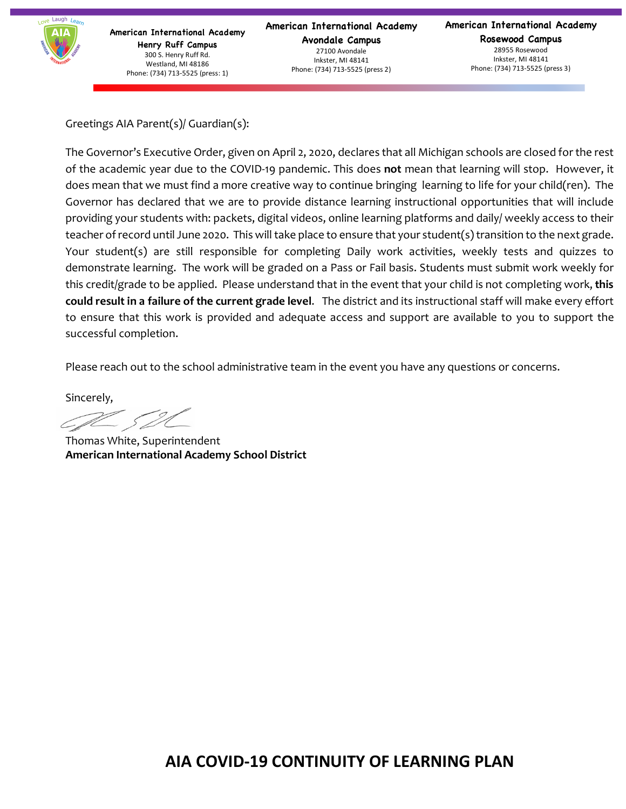

**American International Academy Avondale Campus** 27100 Avondale Inkster, MI 48141 Phone: (734) 713-5525 (press 2)

**American International Academy Rosewood Campus** 28955 Rosewood Inkster, MI 48141 Phone: (734) 713-5525 (press 3)

Greetings AIA Parent(s)/ Guardian(s):

The Governor's Executive Order, given on April 2, 2020, declares that all Michigan schools are closed for the rest of the academic year due to the COVID-19 pandemic. This does **not** mean that learning will stop. However, it does mean that we must find a more creative way to continue bringing learning to life for your child(ren). The Governor has declared that we are to provide distance learning instructional opportunities that will include providing your students with: packets, digital videos, online learning platforms and daily/ weekly access to their teacher of record until June 2020. This will take place to ensure that your student(s) transition to the next grade. Your student(s) are still responsible for completing Daily work activities, weekly tests and quizzes to demonstrate learning. The work will be graded on a Pass or Fail basis. Students must submit work weekly for this credit/grade to be applied. Please understand that in the event that your child is not completing work, **this could result in a failure of the current grade level**. The district and its instructional staff will make every effort to ensure that this work is provided and adequate access and support are available to you to support the successful completion.

Please reach out to the school administrative team in the event you have any questions or concerns.

Sincerely,

Thomas White, Superintendent **American International Academy School District**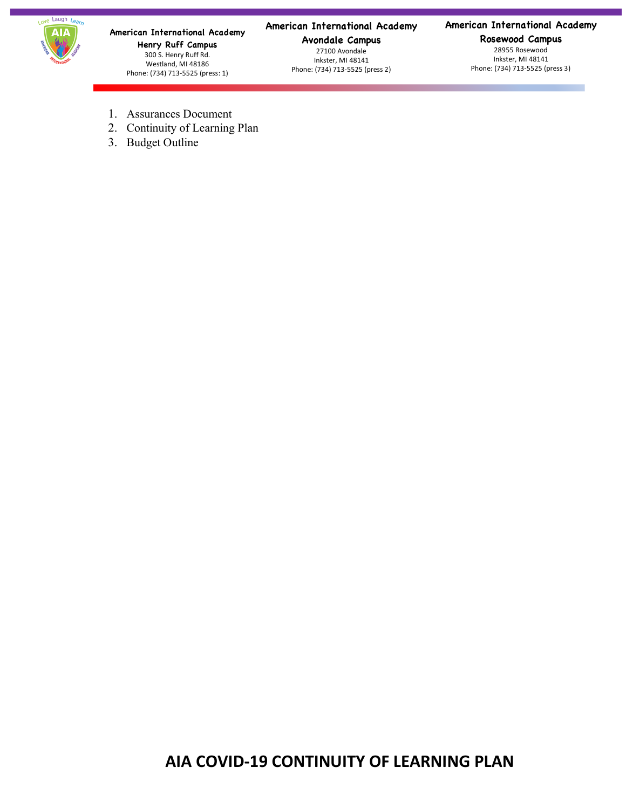

#### **American International Academy**

**Avondale Campus** 27100 Avondale Inkster, MI 48141 Phone: (734) 713-5525 (press 2)

#### **American International Academy**

**Rosewood Campus** 28955 Rosewood Inkster, MI 48141 Phone: (734) 713-5525 (press 3)

- 1. Assurances Document
- 2. Continuity of Learning Plan
- 3. Budget Outline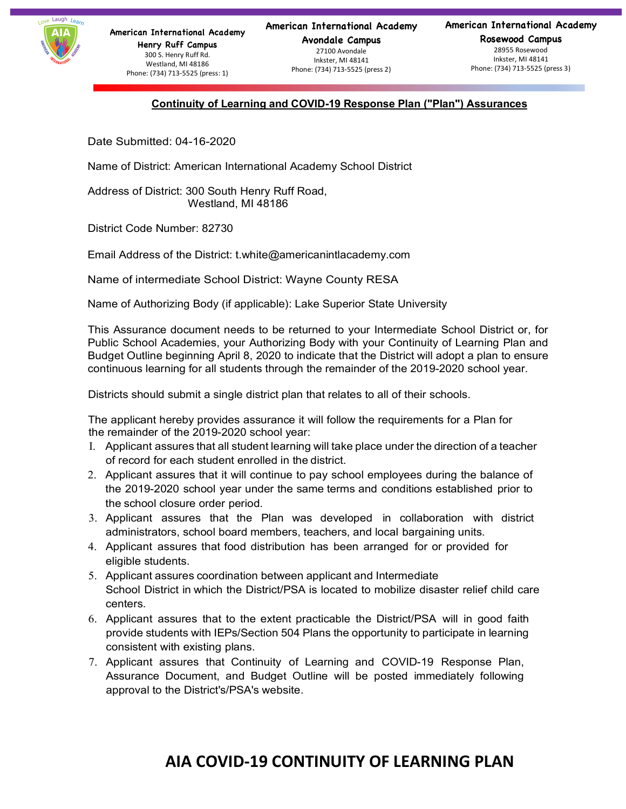

Inkster, MI 48141 Phone: (734) 713-5525 (press 2) **American International Academy**

**Rosewood Campus** 28955 Rosewood Inkster, MI 48141 Phone: (734) 713-5525 (press 3)

#### **Continuity of Learning and COVID-19 Response Plan ("Plan") Assurances**

Date Submitted: 04-16-2020

Name of District: American International Academy School District

Address of District: 300 South Henry Ruff Road, Westland, MI 48186

District Code Number: 82730

Email Address of the District: t.white@americanintlacademy.com

Name of intermediate School District: Wayne County RESA

Name of Authorizing Body (if applicable): Lake Superior State University

This Assurance document needs to be returned to your Intermediate School District or, for Public School Academies, your Authorizing Body with your Continuity of Learning Plan and Budget Outline beginning April 8, 2020 to indicate that the District will adopt a plan to ensure continuous learning for all students through the remainder of the 2019-2020 school year.

Districts should submit a single district plan that relates to all of their schools.

The applicant hereby provides assurance it will follow the requirements for a Plan for the remainder of the 2019-2020 school year:

- I. Applicant assures that all student learning will take place under the direction of a teacher of record for each student enrolled in the district.
- 2. Applicant assures that it will continue to pay school employees during the balance of the 2019-2020 school year under the same terms and conditions established prior to the school closure order period.
- 3. Applicant assures that the Plan was developed in collaboration with district administrators, school board members, teachers, and local bargaining units.
- 4. Applicant assures that food distribution has been arranged for or provided for eligible students.
- 5. Applicant assures coordination between applicant and Intermediate School District in which the District/PSA is located to mobilize disaster relief child care centers.
- 6. Applicant assures that to the extent practicable the District/PSA will in good faith provide students with IEPs/Section 504 Plans the opportunity to participate in learning consistent with existing plans.
- 7. Applicant assures that Continuity of Learning and COVID-19 Response Plan, Assurance Document, and Budget Outline will be posted immediately following approval to the District's/PSA's website.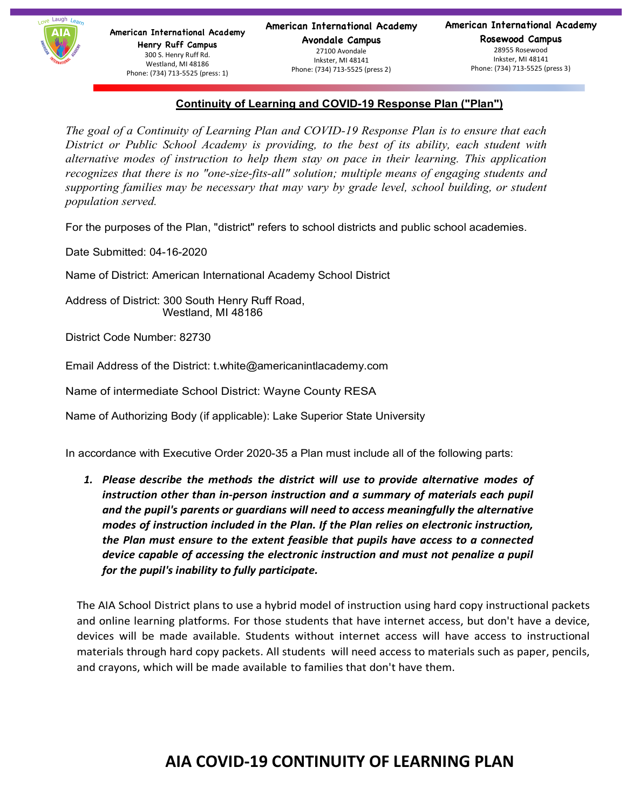#### **Continuity of Learning and COVID-19 Response Plan ("Plan")**

*The goal of a Continuity of Learning Plan and COVID-19 Response Plan is to ensure that each District or Public School Academy is providing, to the best of its ability, each student with alternative modes of instruction to help them stay on pace in their learning. This application recognizes that there is no "one-size-fits-all" solution; multiple means of engaging students and supporting families may be necessary that may vary by grade level, school building, or student population served.*

For the purposes of the Plan, "district" refers to school districts and public school academies.

Date Submitted: 04-16-2020

Name of District: American International Academy School District

Address of District: 300 South Henry Ruff Road, Westland, MI 48186

District Code Number: 82730

Email Address of the District: t.white@americanintlacademy.com

Name of intermediate School District: Wayne County RESA

Name of Authorizing Body (if applicable): Lake Superior State University

In accordance with Executive Order 2020-35 a Plan must include all of the following parts:

*1. Please describe the methods the district will use to provide alternative modes of instruction other than in-person instruction and a summary of materials each pupil and the pupil's parents or guardians will need to access meaningfully the alternative modes of instruction included in the Plan. If the Plan relies on electronic instruction, the Plan must ensure to the extent feasible that pupils have access to a connected device capable of accessing the electronic instruction and must not penalize a pupil for the pupil's inability to fully participate.*

The AIA School District plans to use a hybrid model of instruction using hard copy instructional packets and online learning platforms. For those students that have internet access, but don't have a device, devices will be made available. Students without internet access will have access to instructional materials through hard copy packets. All students will need access to materials such as paper, pencils, and crayons, which will be made available to families that don't have them.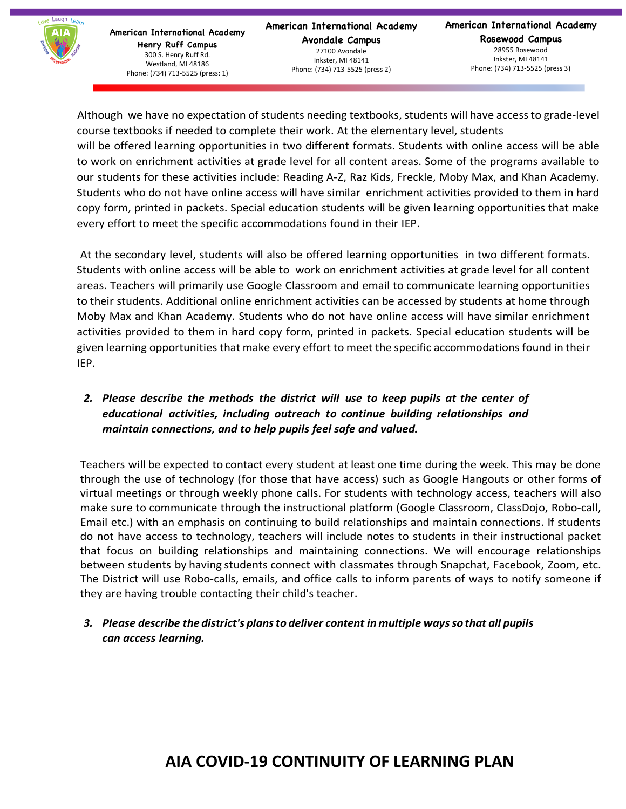

**American International Academy Avondale Campus** 27100 Avondale Inkster, MI 48141 Phone: (734) 713-5525 (press 2)

**American International Academy Rosewood Campus** 28955 Rosewood Inkster, MI 48141 Phone: (734) 713-5525 (press 3)

Although we have no expectation of students needing textbooks, students will have access to grade-level course textbooks if needed to complete their work. At the elementary level, students

will be offered learning opportunities in two different formats. Students with online access will be able to work on enrichment activities at grade level for all content areas. Some of the programs available to our students for these activities include: Reading A-Z, Raz Kids, Freckle, Moby Max, and Khan Academy. Students who do not have online access will have similar enrichment activities provided to them in hard copy form, printed in packets. Special education students will be given learning opportunities that make every effort to meet the specific accommodations found in their IEP.

At the secondary level, students will also be offered learning opportunities in two different formats. Students with online access will be able to work on enrichment activities at grade level for all content areas. Teachers will primarily use Google Classroom and email to communicate learning opportunities to their students. Additional online enrichment activities can be accessed by students at home through Moby Max and Khan Academy. Students who do not have online access will have similar enrichment activities provided to them in hard copy form, printed in packets. Special education students will be given learning opportunities that make every effort to meet the specific accommodations found in their IEP.

## *2. Please describe the methods the district will use to keep pupils at the center of educational activities, including outreach to continue building relationships and maintain connections, and to help pupils feel safe and valued.*

Teachers will be expected to contact every student at least one time during the week. This may be done through the use of technology (for those that have access) such as Google Hangouts or other forms of virtual meetings or through weekly phone calls. For students with technology access, teachers will also make sure to communicate through the instructional platform (Google Classroom, ClassDojo, Robo-call, Email etc.) with an emphasis on continuing to build relationships and maintain connections. If students do not have access to technology, teachers will include notes to students in their instructional packet that focus on building relationships and maintaining connections. We will encourage relationships between students by having students connect with classmates through Snapchat, Facebook, Zoom, etc. The District will use Robo-calls, emails, and office calls to inform parents of ways to notify someone if they are having trouble contacting their child's teacher.

## *3. Please describe the district's plansto deliver content in multiple wayssothat all pupils can access learning.*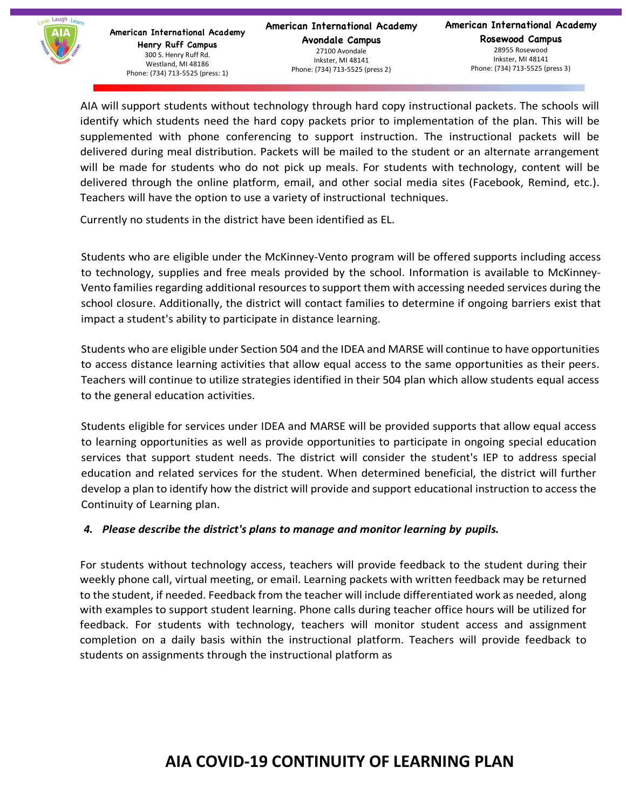

**American International Academy Avondale Campus** 27100 Avondale Inkster, MI 48141 Phone: (734) 713-5525 (press 2)

**American International Academy Rosewood Campus** 28955 Rosewood Inkster, MI 48141 Phone: (734) 713-5525 (press 3)

AIA will support students without technology through hard copy instructional packets. The schools will identify which students need the hard copy packets prior to implementation of the plan. This will be supplemented with phone conferencing to support instruction. The instructional packets will be delivered during meal distribution. Packets will be mailed to the student or an alternate arrangement will be made for students who do not pick up meals. For students with technology, content will be delivered through the online platform, email, and other social media sites (Facebook, Remind, etc.). Teachers will have the option to use a variety of instructional techniques.

Currently no students in the district have been identified as EL.

Students who are eligible under the McKinney-Vento program will be offered supports including access to technology, supplies and free meals provided by the school. Information is available to McKinney-Vento families regarding additional resources to support them with accessing needed services during the school closure. Additionally, the district will contact families to determine if ongoing barriers exist that impact a student's ability to participate in distance learning.

Students who are eligible under Section 504 and the IDEA and MARSE will continue to have opportunities to access distance learning activities that allow equal access to the same opportunities as their peers. Teachers will continue to utilize strategies identified in their 504 plan which allow students equal access to the general education activities.

Students eligible for services under IDEA and MARSE will be provided supports that allow equal access to learning opportunities as well as provide opportunities to participate in ongoing special education services that support student needs. The district will consider the student's IEP to address special education and related services for the student. When determined beneficial, the district will further develop a plan to identify how the district will provide and support educational instruction to access the Continuity of Learning plan.

#### *4. Please describe the district's plans to manage and monitor learning by pupils.*

For students without technology access, teachers will provide feedback to the student during their weekly phone call, virtual meeting, or email. Learning packets with written feedback may be returned to the student, if needed. Feedback from the teacher will include differentiated work as needed, along with examples to support student learning. Phone calls during teacher office hours will be utilized for feedback. For students with technology, teachers will monitor student access and assignment completion on a daily basis within the instructional platform. Teachers will provide feedback to students on assignments through the instructional platform as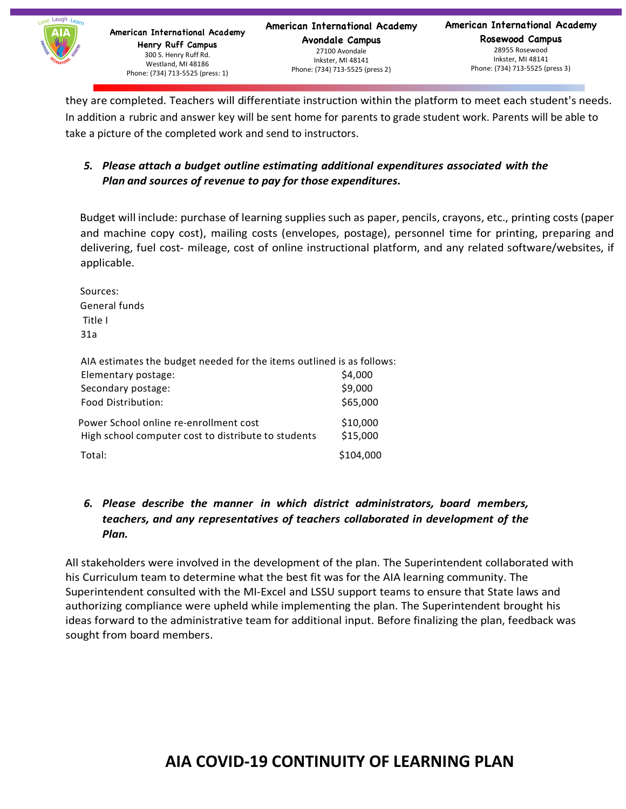

**American International Academy Avondale Campus** 27100 Avondale Inkster, MI 48141 Phone: (734) 713-5525 (press 2)

**American International Academy Rosewood Campus** 28955 Rosewood Inkster, MI 48141 Phone: (734) 713-5525 (press 3)

they are completed. Teachers will differentiate instruction within the platform to meet each student's needs. In addition a rubric and answer key will be sent home for parents to grade student work. Parents will be able to take a picture of the completed work and send to instructors.

## *5. Please attach a budget outline estimating additional expenditures associated with the Plan and sources of revenue to pay for those expenditures.*

Budget will include: purchase of learning supplies such as paper, pencils, crayons, etc., printing costs (paper and machine copy cost), mailing costs (envelopes, postage), personnel time for printing, preparing and delivering, fuel cost- mileage, cost of online instructional platform, and any related software/websites, if applicable.

Sources: General funds Title I 31a

AIA estimates the budget needed for the items outlined is as follows:

| Elementary postage:                                                                           | \$4,000              |
|-----------------------------------------------------------------------------------------------|----------------------|
| Secondary postage:                                                                            | \$9,000              |
| Food Distribution:                                                                            | \$65,000             |
| Power School online re-enrollment cost<br>High school computer cost to distribute to students | \$10,000<br>\$15,000 |
| Total:                                                                                        | \$104,000            |

## *6. Please describe the manner in which district administrators, board members, teachers, and any representatives of teachers collaborated in development of the Plan.*

All stakeholders were involved in the development of the plan. The Superintendent collaborated with his Curriculum team to determine what the best fit was for the AIA learning community. The Superintendent consulted with the MI-Excel and LSSU support teams to ensure that State laws and authorizing compliance were upheld while implementing the plan. The Superintendent brought his ideas forward to the administrative team for additional input. Before finalizing the plan, feedback was sought from board members.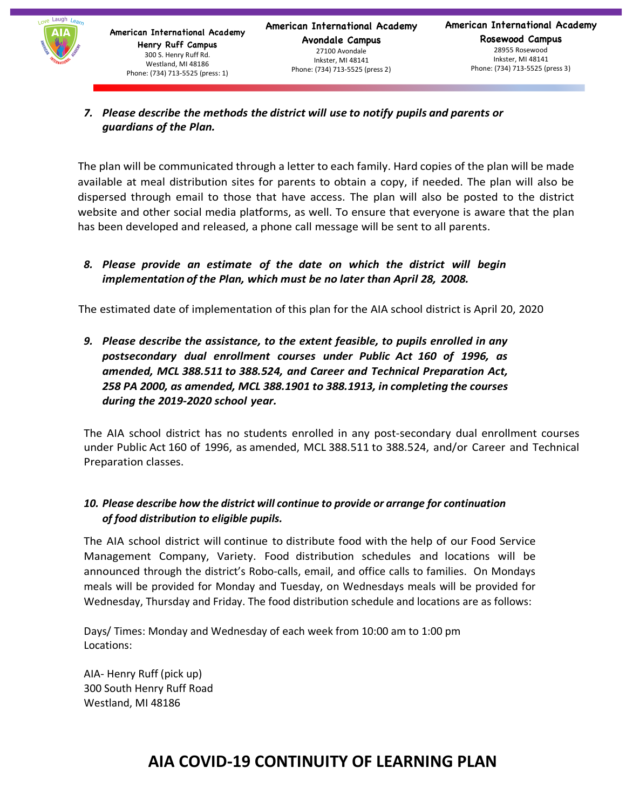

#### *7. Please describe the methods the district will use to notify pupils and parents or guardians of the Plan.*

The plan will be communicated through a letter to each family. Hard copies of the plan will be made available at meal distribution sites for parents to obtain a copy, if needed. The plan will also be dispersed through email to those that have access. The plan will also be posted to the district website and other social media platforms, as well. To ensure that everyone is aware that the plan has been developed and released, a phone call message will be sent to all parents.

#### *8. Please provide an estimate of the date on which the district will begin implementation of the Plan, which must be no later than April 28, 2008.*

The estimated date of implementation of this plan for the AIA school district is April 20, 2020

*9. Please describe the assistance, to the extent feasible, to pupils enrolled in any postsecondary dual enrollment courses under Public Act 160 of 1996, as amended, MCL 388.511 to 388.524, and Career and Technical Preparation Act, 258 PA 2000, as amended, MCL 388.1901 to 388.1913, in completing the courses during the 2019-2020 school year.*

The AIA school district has no students enrolled in any post-secondary dual enrollment courses under Public Act 160 of 1996, as amended, MCL 388.511 to 388.524, and/or Career and Technical Preparation classes.

## *10. Please describe how the district will continue to provide or arrange for continuation of food distribution to eligible pupils.*

The AIA school district will continue to distribute food with the help of our Food Service Management Company, Variety. Food distribution schedules and locations will be announced through the district's Robo-calls, email, and office calls to families. On Mondays meals will be provided for Monday and Tuesday, on Wednesdays meals will be provided for Wednesday, Thursday and Friday. The food distribution schedule and locations are as follows:

Days/ Times: Monday and Wednesday of each week from 10:00 am to 1:00 pm Locations:

AIA- Henry Ruff (pick up) 300 South Henry Ruff Road Westland, MI 48186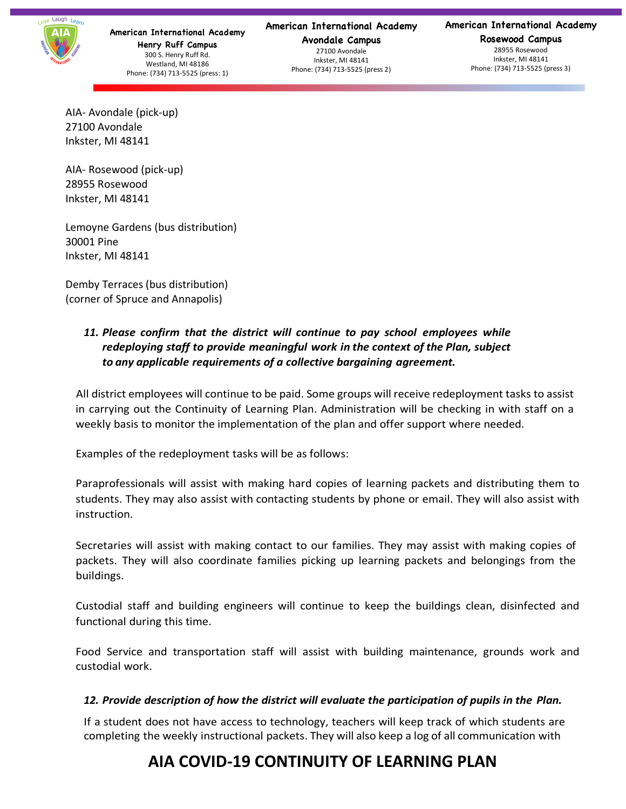

#### **American International Academy**

**Avondale Campus** 27100 Avondale Inkster, MI 48141 Phone: (734) 713-5525 (press 2)

#### **American International Academy**

**Rosewood Campus** 28955 Rosewood Inkster, MI 48141 Phone: (734) 713-5525 (press 3)

AIA- Avondale (pick-up) 27100 Avondale Inkster, MI 48141

AIA- Rosewood (pick-up) 28955 Rosewood Inkster, MI 48141

Lemoyne Gardens (bus distribution) 30001 Pine Inkster, MI 48141

Demby Terraces (bus distribution) (corner of Spruce and Annapolis)

## *11. Please confirm that the district will continue to pay school employees while redeploying staff to provide meaningful work in the context of the Plan, subject to any applicable requirements of a collective bargaining agreement.*

All district employees will continue to be paid. Some groups will receive redeployment tasks to assist in carrying out the Continuity of Learning Plan. Administration will be checking in with staff on a weekly basis to monitor the implementation of the plan and offer support where needed.

Examples of the redeployment tasks will be as follows:

Paraprofessionals will assist with making hard copies of learning packets and distributing them to students. They may also assist with contacting students by phone or email. They will also assist with instruction.

Secretaries will assist with making contact to our families. They may assist with making copies of packets. They will also coordinate families picking up learning packets and belongings from the buildings.

Custodial staff and building engineers will continue to keep the buildings clean, disinfected and functional during this time.

Food Service and transportation staff will assist with building maintenance, grounds work and custodial work.

#### *12. Provide description of how the district will evaluate the participation of pupils in the Plan.*

If a student does not have access to technology, teachers will keep track of which students are completing the weekly instructional packets. They will also keep a log of all communication with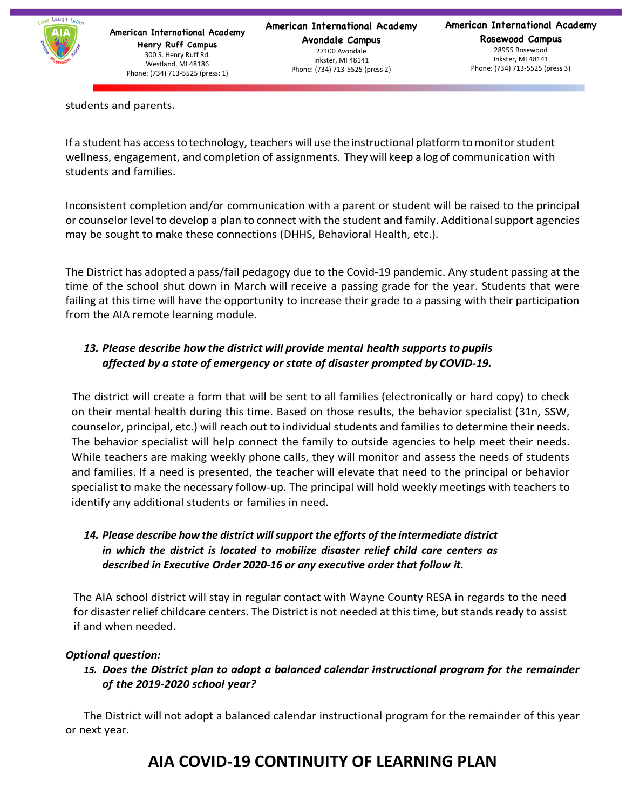

28955 Rosewood Inkster, MI 48141 Phone: (734) 713-5525 (press 3)

students and parents.

If a student has access to technology, teachers will use the instructional platform to monitor student wellness, engagement, and completion of assignments. They will keep alog of communication with students and families.

Inconsistent completion and/or communication with a parent or student will be raised to the principal or counselor level to develop a plan to connect with the student and family. Additional support agencies may be sought to make these connections (DHHS, Behavioral Health, etc.).

The District has adopted a pass/fail pedagogy due to the Covid-19 pandemic. Any student passing at the time of the school shut down in March will receive a passing grade for the year. Students that were failing at this time will have the opportunity to increase their grade to a passing with their participation from the AIA remote learning module.

## *13. Please describe how the district will provide mental health supports to pupils affected by a state of emergency or state of disaster prompted by COVID-19.*

The district will create a form that will be sent to all families (electronically or hard copy) to check on their mental health during this time. Based on those results, the behavior specialist (31n, SSW, counselor, principal, etc.) will reach out to individual students and families to determine their needs. The behavior specialist will help connect the family to outside agencies to help meet their needs. While teachers are making weekly phone calls, they will monitor and assess the needs of students and families. If a need is presented, the teacher will elevate that need to the principal or behavior specialist to make the necessary follow-up. The principal will hold weekly meetings with teachers to identify any additional students or families in need.

## *14. Please describe how the district will support the efforts of the intermediate district in which the district is located to mobilize disaster relief child care centers as described in Executive Order 2020-16 or any executive order that follow it.*

The AIA school district will stay in regular contact with Wayne County RESA in regards to the need for disaster relief childcare centers. The District is not needed at this time, but stands ready to assist if and when needed.

#### *Optional question:*

*15. Does the District plan to adopt a balanced calendar instructional program for the remainder of the 2019-2020 school year?* 

The District will not adopt a balanced calendar instructional program for the remainder of this year or next year.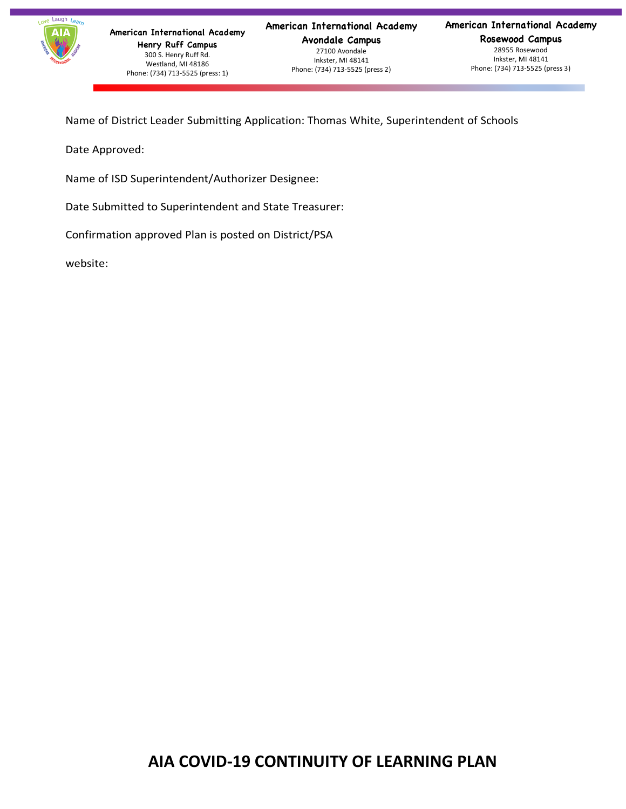

**American International Academy Avondale Campus** 27100 Avondale Inkster, MI 48141 Phone: (734) 713-5525 (press 2)

**American International Academy Rosewood Campus** 28955 Rosewood Inkster, MI 48141 Phone: (734) 713-5525 (press 3)

Name of District Leader Submitting Application: Thomas White, Superintendent of Schools

Date Approved:

Name of ISD Superintendent/Authorizer Designee:

Date Submitted to Superintendent and State Treasurer:

Confirmation approved Plan is posted on District/PSA

website: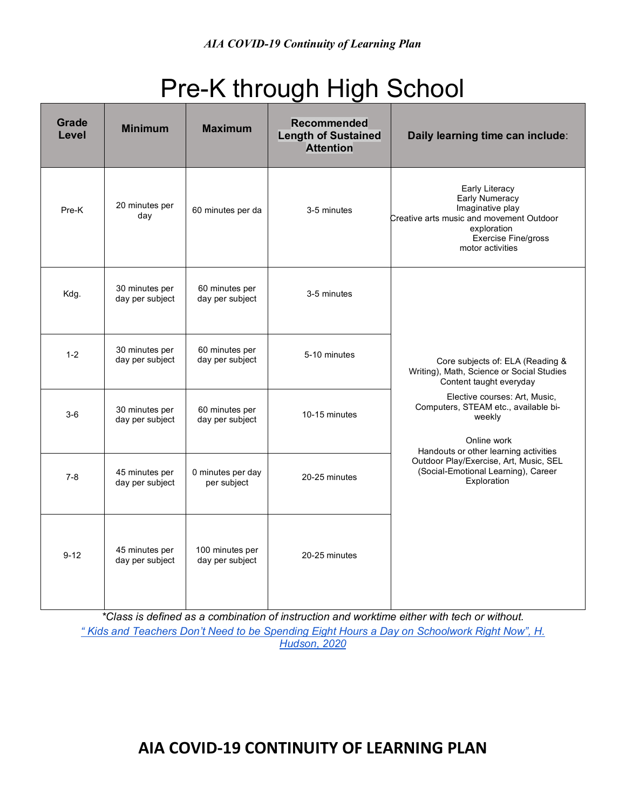# Pre-K through High School

| <b>Grade</b><br><b>Level</b> | <b>Minimum</b>                    | <b>Maximum</b>                     | Recommended<br><b>Length of Sustained</b><br><b>Attention</b> | Daily learning time can include:                                                                                                                                  |
|------------------------------|-----------------------------------|------------------------------------|---------------------------------------------------------------|-------------------------------------------------------------------------------------------------------------------------------------------------------------------|
| Pre-K                        | 20 minutes per<br>day             | 60 minutes per da                  | 3-5 minutes                                                   | Early Literacy<br>Early Numeracy<br>Imaginative play<br>Creative arts music and movement Outdoor<br>exploration<br><b>Exercise Fine/gross</b><br>motor activities |
| Kdg.                         | 30 minutes per<br>day per subject | 60 minutes per<br>day per subject  | 3-5 minutes                                                   |                                                                                                                                                                   |
| $1 - 2$                      | 30 minutes per<br>day per subject | 60 minutes per<br>day per subject  | 5-10 minutes                                                  | Core subjects of: ELA (Reading &<br>Writing), Math, Science or Social Studies<br>Content taught everyday                                                          |
| $3-6$                        | 30 minutes per<br>day per subject | 60 minutes per<br>day per subject  | 10-15 minutes                                                 | Elective courses: Art, Music,<br>Computers, STEAM etc., available bi-<br>weekly<br>Online work                                                                    |
| $7 - 8$                      | 45 minutes per<br>day per subject | 0 minutes per day<br>per subject   | 20-25 minutes                                                 | Handouts or other learning activities<br>Outdoor Play/Exercise, Art, Music, SEL<br>(Social-Emotional Learning), Career<br>Exploration                             |
| $9 - 12$                     | 45 minutes per<br>day per subject | 100 minutes per<br>day per subject | 20-25 minutes                                                 |                                                                                                                                                                   |

*\*Class is defined as a combination of instruction and worktime either with tech or without. " Kids and Teachers Don't Need to be Spending Eight Hours a Day on Schoolwork Right Now", H. Hudson, 2020*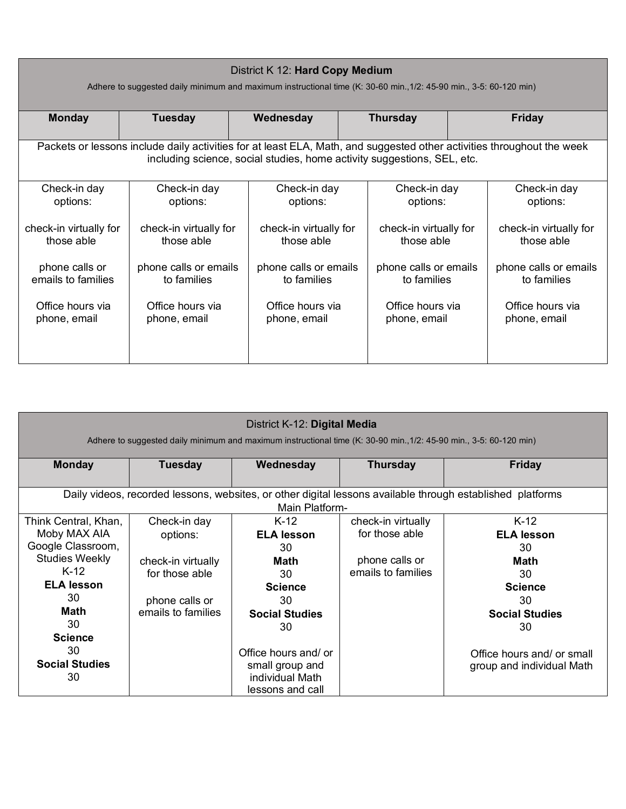| District K 12: Hard Copy Medium<br>Adhere to suggested daily minimum and maximum instructional time (K: 30-60 min., 1/2: 45-90 min., 3-5: 60-120 min) |                                                                                                                                                                                                   |                        |                        |                        |  |
|-------------------------------------------------------------------------------------------------------------------------------------------------------|---------------------------------------------------------------------------------------------------------------------------------------------------------------------------------------------------|------------------------|------------------------|------------------------|--|
| <b>Monday</b>                                                                                                                                         | <b>Tuesday</b>                                                                                                                                                                                    | Wednesday              | <b>Thursday</b>        | Friday                 |  |
|                                                                                                                                                       | Packets or lessons include daily activities for at least ELA, Math, and suggested other activities throughout the week<br>including science, social studies, home activity suggestions, SEL, etc. |                        |                        |                        |  |
| Check-in day                                                                                                                                          | Check-in day                                                                                                                                                                                      | Check-in day           | Check-in day           | Check-in day           |  |
| options:                                                                                                                                              | options:                                                                                                                                                                                          | options:               | options:               | options:               |  |
| check-in virtually for                                                                                                                                | check-in virtually for                                                                                                                                                                            | check-in virtually for | check-in virtually for | check-in virtually for |  |
| those able                                                                                                                                            | those able                                                                                                                                                                                        | those able             | those able             | those able             |  |
| phone calls or                                                                                                                                        | phone calls or emails                                                                                                                                                                             | phone calls or emails  | phone calls or emails  | phone calls or emails  |  |
| emails to families                                                                                                                                    | to families                                                                                                                                                                                       | to families            | to families            | to families            |  |
| Office hours via                                                                                                                                      | Office hours via                                                                                                                                                                                  | Office hours via       | Office hours via       | Office hours via       |  |
| phone, email                                                                                                                                          | phone, email                                                                                                                                                                                      | phone, email           | phone, email           | phone, email           |  |

| District K-12: Digital Media<br>Adhere to suggested daily minimum and maximum instructional time (K: 30-90 min., 1/2: 45-90 min., 3-5: 60-120 min) |                                                                                                          |                                                                                                        |                                                                              |                                                                                                               |
|----------------------------------------------------------------------------------------------------------------------------------------------------|----------------------------------------------------------------------------------------------------------|--------------------------------------------------------------------------------------------------------|------------------------------------------------------------------------------|---------------------------------------------------------------------------------------------------------------|
| <b>Monday</b>                                                                                                                                      | <b>Tuesday</b>                                                                                           | Wednesday                                                                                              | <b>Thursday</b>                                                              | <b>Friday</b>                                                                                                 |
|                                                                                                                                                    |                                                                                                          | Main Platform-                                                                                         |                                                                              | Daily videos, recorded lessons, websites, or other digital lessons available through established platforms    |
| Think Central, Khan,<br>Moby MAX AIA<br>Google Classroom,<br><b>Studies Weekly</b><br>$K-12$<br><b>ELA lesson</b><br>30<br><b>Math</b><br>30       | Check-in day<br>options:<br>check-in virtually<br>for those able<br>phone calls or<br>emails to families | $K-12$<br><b>ELA lesson</b><br>30<br>Math<br>30<br><b>Science</b><br>30<br><b>Social Studies</b><br>30 | check-in virtually<br>for those able<br>phone calls or<br>emails to families | $K-12$<br><b>ELA lesson</b><br>30<br><b>Math</b><br>30<br><b>Science</b><br>30<br><b>Social Studies</b><br>30 |
| <b>Science</b><br>30<br><b>Social Studies</b><br>30                                                                                                |                                                                                                          | Office hours and/ or<br>small group and<br>individual Math<br>lessons and call                         |                                                                              | Office hours and/ or small<br>group and individual Math                                                       |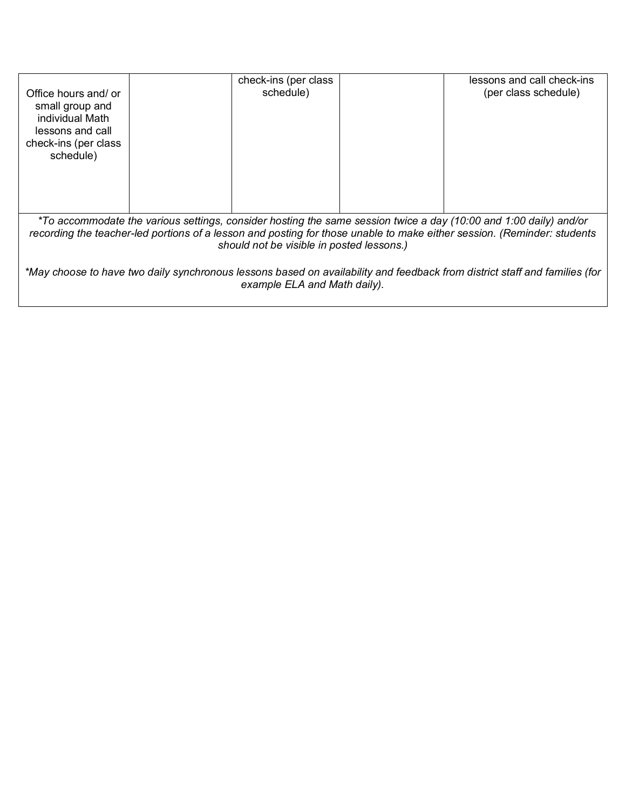| Office hours and/ or<br>small group and<br>individual Math<br>lessons and call<br>check-ins (per class<br>schedule) | check-ins (per class<br>schedule) | lessons and call check-ins<br>(per class schedule) |  |  |
|---------------------------------------------------------------------------------------------------------------------|-----------------------------------|----------------------------------------------------|--|--|
| *To accommodate the various settings, consider hosting the same session twice a day (10:00 and 1:00 daily) and/or   |                                   |                                                    |  |  |

*recording the teacher-led portions of a lesson and posting for those unable to make either session. (Reminder: students should not be visible in posted lessons.)*

*\*May choose to have two daily synchronous lessons based on availability and feedback from district staff and families (for example ELA and Math daily).*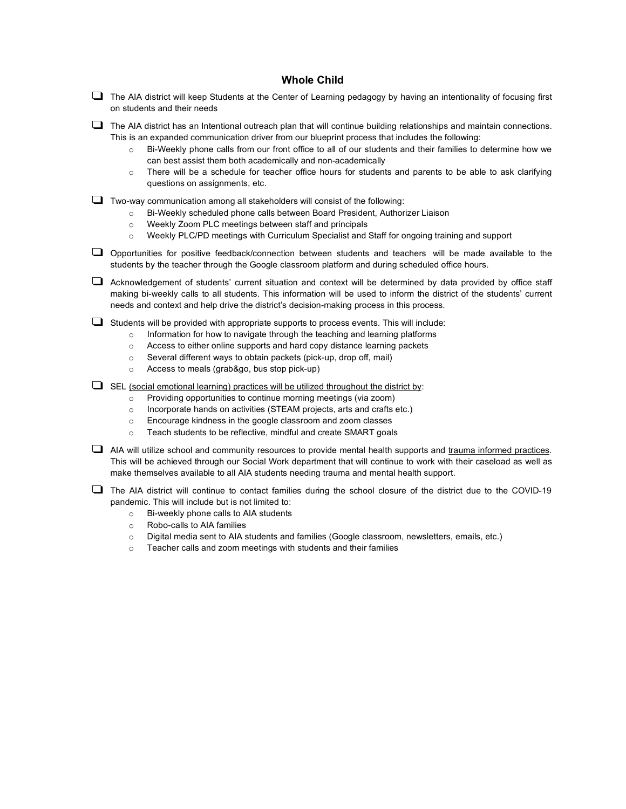#### **Whole Child**

- $\Box$  The AIA district will keep Students at the Center of Learning pedagogy by having an intentionality of focusing first on students and their needs
- $\Box$  The AIA district has an Intentional outreach plan that will continue building relationships and maintain connections. This is an expanded communication driver from our blueprint process that includes the following:
	- o Bi-Weekly phone calls from our front office to all of our students and their families to determine how we can best assist them both academically and non-academically
	- o There will be a schedule for teacher office hours for students and parents to be able to ask clarifying questions on assignments, etc.

 $\Box$  Two-way communication among all stakeholders will consist of the following:

- o Bi-Weekly scheduled phone calls between Board President, Authorizer Liaison
- o Weekly Zoom PLC meetings between staff and principals
- o Weekly PLC/PD meetings with Curriculum Specialist and Staff for ongoing training and support
- ❑ Opportunities for positive feedback/connection between students and teachers will be made available to the students by the teacher through the Google classroom platform and during scheduled office hours.
- ❑ Acknowledgement of students' current situation and context will be determined by data provided by office staff making bi-weekly calls to all students. This information will be used to inform the district of the students' current needs and context and help drive the district's decision-making process in this process.
- ❑ Students will be provided with appropriate supports to process events. This will include:
	- $\circ$  Information for how to navigate through the teaching and learning platforms
	- o Access to either online supports and hard copy distance learning packets
	- o Several different ways to obtain packets (pick-up, drop off, mail)
	- o Access to meals (grab&go, bus stop pick-up)
- $\Box$  SEL (social emotional learning) practices will be utilized throughout the district by:
	- o Providing opportunities to continue morning meetings (via zoom)
	- o Incorporate hands on activities (STEAM projects, arts and crafts etc.)
	- o Encourage kindness in the google classroom and zoom classes
	- o Teach students to be reflective, mindful and create SMART goals
- □ AIA will utilize school and community resources to provide mental health supports and trauma informed practices. This will be achieved through our Social Work department that will continue to work with their caseload as well as make themselves available to all AIA students needing trauma and mental health support.

❑ The AIA district will continue to contact families during the school closure of the district due to the COVID-19 pandemic. This will include but is not limited to:

- o Bi-weekly phone calls to AIA students
- o Robo-calls to AIA families
- o Digital media sent to AIA students and families (Google classroom, newsletters, emails, etc.)
- o Teacher calls and zoom meetings with students and their families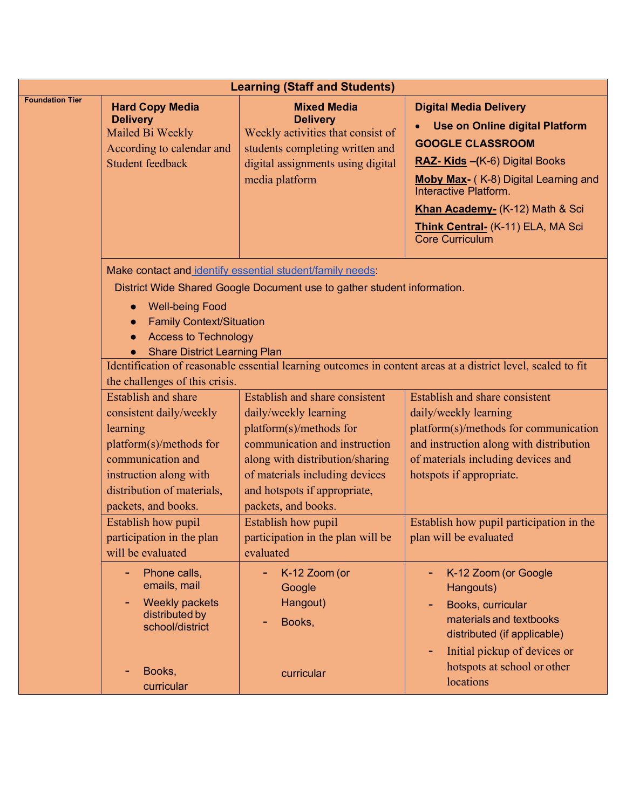| <b>Learning (Staff and Students)</b> |                                                                                                                                                                                                                                    |                                                                                                                                                                                                                                                 |                                                                                                                                                                                                                                                                                                  |
|--------------------------------------|------------------------------------------------------------------------------------------------------------------------------------------------------------------------------------------------------------------------------------|-------------------------------------------------------------------------------------------------------------------------------------------------------------------------------------------------------------------------------------------------|--------------------------------------------------------------------------------------------------------------------------------------------------------------------------------------------------------------------------------------------------------------------------------------------------|
| <b>Foundation Tier</b>               | <b>Hard Copy Media</b><br><b>Delivery</b><br>Mailed Bi Weekly<br>According to calendar and<br><b>Student feedback</b>                                                                                                              | <b>Mixed Media</b><br><b>Delivery</b><br>Weekly activities that consist of<br>students completing written and<br>digital assignments using digital<br>media platform                                                                            | <b>Digital Media Delivery</b><br><b>Use on Online digital Platform</b><br><b>GOOGLE CLASSROOM</b><br>RAZ- Kids - (K-6) Digital Books<br>Moby Max- (K-8) Digital Learning and<br>Interactive Platform.<br>Khan Academy- (K-12) Math & Sci<br>Think Central- (K-11) ELA, MA Sci<br>Core Curriculum |
|                                      | <b>Well-being Food</b><br><b>Family Context/Situation</b><br><b>Access to Technology</b><br><b>Share District Learning Plan</b>                                                                                                    | Make contact and identify essential student/family needs:<br>District Wide Shared Google Document use to gather student information.                                                                                                            | Identification of reasonable essential learning outcomes in content areas at a district level, scaled to fit                                                                                                                                                                                     |
|                                      | the challenges of this crisis.<br><b>Establish</b> and share<br>consistent daily/weekly<br>learning<br>platform(s)/methods for<br>communication and<br>instruction along with<br>distribution of materials,<br>packets, and books. | Establish and share consistent<br>daily/weekly learning<br>platform(s)/methods for<br>communication and instruction<br>along with distribution/sharing<br>of materials including devices<br>and hotspots if appropriate,<br>packets, and books. | Establish and share consistent<br>daily/weekly learning<br>platform(s)/methods for communication<br>and instruction along with distribution<br>of materials including devices and<br>hotspots if appropriate.                                                                                    |
|                                      | Establish how pupil<br>participation in the plan<br>will be evaluated<br>Phone calls,<br>٠                                                                                                                                         | <b>Establish how pupil</b><br>participation in the plan will be<br>evaluated<br>K-12 Zoom (or                                                                                                                                                   | Establish how pupil participation in the<br>plan will be evaluated<br>K-12 Zoom (or Google                                                                                                                                                                                                       |
|                                      | emails, mail<br><b>Weekly packets</b><br>distributed by<br>school/district                                                                                                                                                         | Google<br>Hangout)<br>Books,                                                                                                                                                                                                                    | Hangouts)<br>Books, curricular<br>materials and textbooks<br>distributed (if applicable)<br>Initial pickup of devices or                                                                                                                                                                         |
|                                      | Books,<br>curricular                                                                                                                                                                                                               | curricular                                                                                                                                                                                                                                      | hotspots at school or other<br>locations                                                                                                                                                                                                                                                         |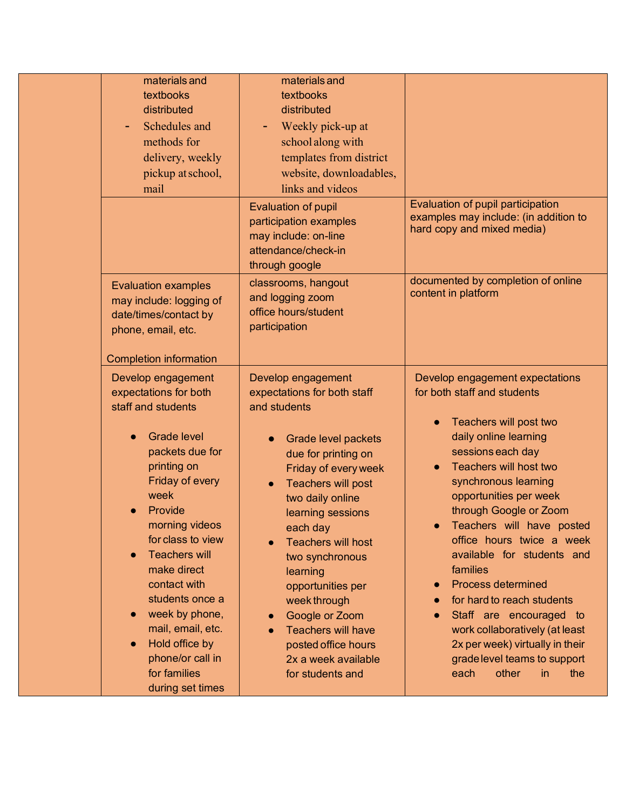| materials and<br>textbooks<br>distributed<br>Schedules and<br>methods for<br>delivery, weekly<br>pickup at school,<br>mail                                                                                                                                                                                                                                                                        | materials and<br>textbooks<br>distributed<br>Weekly pick-up at<br>٠<br>school along with<br>templates from district<br>website, downloadables,<br>links and videos<br><b>Evaluation of pupil</b><br>participation examples<br>may include: on-line<br>attendance/check-in<br>through google                                                                                                                                                                    | Evaluation of pupil participation<br>examples may include: (in addition to<br>hard copy and mixed media)                                                                                                                                                                                                                                                                                                                                                                                                                                                                               |
|---------------------------------------------------------------------------------------------------------------------------------------------------------------------------------------------------------------------------------------------------------------------------------------------------------------------------------------------------------------------------------------------------|----------------------------------------------------------------------------------------------------------------------------------------------------------------------------------------------------------------------------------------------------------------------------------------------------------------------------------------------------------------------------------------------------------------------------------------------------------------|----------------------------------------------------------------------------------------------------------------------------------------------------------------------------------------------------------------------------------------------------------------------------------------------------------------------------------------------------------------------------------------------------------------------------------------------------------------------------------------------------------------------------------------------------------------------------------------|
| <b>Evaluation examples</b><br>may include: logging of<br>date/times/contact by<br>phone, email, etc.<br><b>Completion information</b>                                                                                                                                                                                                                                                             | classrooms, hangout<br>and logging zoom<br>office hours/student<br>participation                                                                                                                                                                                                                                                                                                                                                                               | documented by completion of online<br>content in platform                                                                                                                                                                                                                                                                                                                                                                                                                                                                                                                              |
| Develop engagement<br>expectations for both<br>staff and students<br><b>Grade level</b><br>packets due for<br>printing on<br>Friday of every<br>week<br>Provide<br>morning videos<br>for class to view<br><b>Teachers will</b><br>make direct<br>contact with<br>students once a<br>week by phone,<br>mail, email, etc.<br>Hold office by<br>phone/or call in<br>for families<br>during set times | Develop engagement<br>expectations for both staff<br>and students<br>Grade level packets<br>due for printing on<br>Friday of every week<br>Teachers will post<br>two daily online<br>learning sessions<br>each day<br><b>Teachers will host</b><br>$\bullet$<br>two synchronous<br>learning<br>opportunities per<br>week through<br>Google or Zoom<br>$\bullet$<br><b>Teachers will have</b><br>posted office hours<br>2x a week available<br>for students and | Develop engagement expectations<br>for both staff and students<br>Teachers will post two<br>daily online learning<br>sessions each day<br>Teachers will host two<br>synchronous learning<br>opportunities per week<br>through Google or Zoom<br>Teachers will have posted<br>office hours twice a week<br>available for students and<br>families<br><b>Process determined</b><br>$\bullet$<br>for hard to reach students<br>Staff are encouraged to<br>work collaboratively (at least<br>2x per week) virtually in their<br>grade level teams to support<br>each<br>other<br>in<br>the |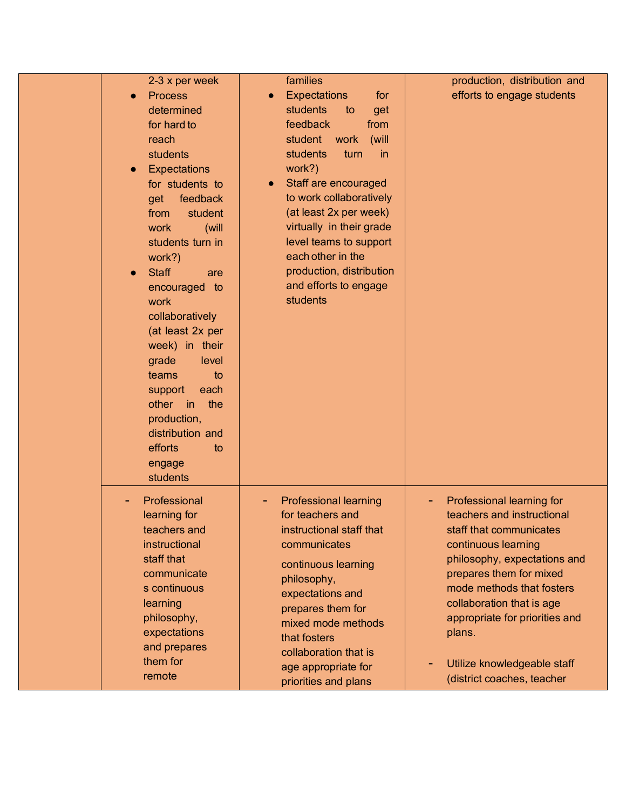| 2-3 x per week<br><b>Process</b><br>determined<br>for hard to<br>reach<br>students<br><b>Expectations</b><br>for students to<br>feedback<br>get<br>student<br>from<br>(will<br>work<br>students turn in<br>work?)<br><b>Staff</b><br>are<br>encouraged to<br>work<br>collaboratively<br>(at least 2x per<br>week) in their<br>grade<br>level<br>teams<br>to<br>each<br>support<br>the<br>other<br>$\mathsf{in}$<br>production,<br>distribution and<br>efforts<br>to<br>engage<br>students | families<br><b>Expectations</b><br>for<br>$\bullet$<br>students<br>to<br>get<br>feedback<br>from<br>student<br>work<br>(will<br>students<br>turn<br>in<br>work?)<br>Staff are encouraged<br>$\bullet$<br>to work collaboratively<br>(at least 2x per week)<br>virtually in their grade<br>level teams to support<br>each other in the<br>production, distribution<br>and efforts to engage<br>students | production, distribution and<br>efforts to engage students                                                                                                                                                                                                                                                                              |
|-------------------------------------------------------------------------------------------------------------------------------------------------------------------------------------------------------------------------------------------------------------------------------------------------------------------------------------------------------------------------------------------------------------------------------------------------------------------------------------------|--------------------------------------------------------------------------------------------------------------------------------------------------------------------------------------------------------------------------------------------------------------------------------------------------------------------------------------------------------------------------------------------------------|-----------------------------------------------------------------------------------------------------------------------------------------------------------------------------------------------------------------------------------------------------------------------------------------------------------------------------------------|
| Professional<br>learning for<br>teachers and<br>instructional<br>staff that<br>communicate<br>s continuous<br>learning<br>philosophy,<br>expectations<br>and prepares<br>them for<br>remote                                                                                                                                                                                                                                                                                               | <b>Professional learning</b><br>for teachers and<br>instructional staff that<br>communicates<br>continuous learning<br>philosophy,<br>expectations and<br>prepares them for<br>mixed mode methods<br>that fosters<br>collaboration that is<br>age appropriate for<br>priorities and plans                                                                                                              | Professional learning for<br>teachers and instructional<br>staff that communicates<br>continuous learning<br>philosophy, expectations and<br>prepares them for mixed<br>mode methods that fosters<br>collaboration that is age<br>appropriate for priorities and<br>plans.<br>Utilize knowledgeable staff<br>(district coaches, teacher |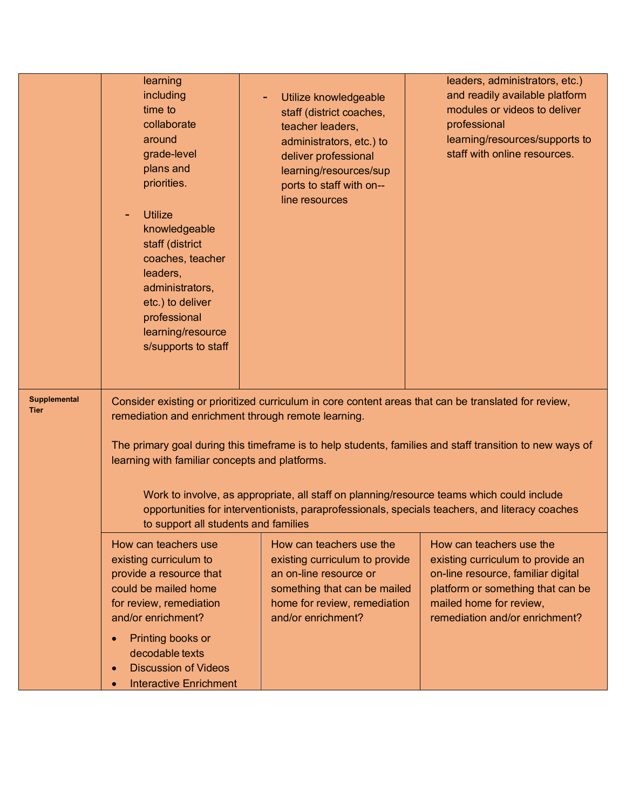|                                    | learning<br>including<br>time to<br>collaborate<br>around<br>grade-level<br>plans and<br>priorities.<br><b>Utilize</b><br>knowledgeable<br>staff (district<br>coaches, teacher<br>leaders,<br>administrators,<br>etc.) to deliver<br>professional<br>learning/resource<br>s/supports to staff | Utilize knowledgeable<br>۰<br>staff (district coaches,<br>teacher leaders,<br>administrators, etc.) to<br>deliver professional<br>learning/resources/sup<br>ports to staff with on--<br>line resources | leaders, administrators, etc.)<br>and readily available platform<br>modules or videos to deliver<br>professional<br>learning/resources/supports to<br>staff with online resources.                         |
|------------------------------------|-----------------------------------------------------------------------------------------------------------------------------------------------------------------------------------------------------------------------------------------------------------------------------------------------|--------------------------------------------------------------------------------------------------------------------------------------------------------------------------------------------------------|------------------------------------------------------------------------------------------------------------------------------------------------------------------------------------------------------------|
| <b>Supplemental</b><br><b>Tier</b> | remediation and enrichment through remote learning.<br>learning with familiar concepts and platforms.<br>to support all students and families                                                                                                                                                 | Consider existing or prioritized curriculum in core content areas that can be translated for review,<br>Work to involve, as appropriate, all staff on planning/resource teams which could include      | The primary goal during this timeframe is to help students, families and staff transition to new ways of<br>opportunities for interventionists, paraprofessionals, specials teachers, and literacy coaches |
|                                    | How can teachers use<br>existing curriculum to<br>provide a resource that<br>could be mailed home<br>for review, remediation<br>and/or enrichment?<br>Printing books or<br>decodable texts<br><b>Discussion of Videos</b><br>$\bullet$<br><b>Interactive Enrichment</b>                       | How can teachers use the<br>existing curriculum to provide<br>an on-line resource or<br>something that can be mailed<br>home for review, remediation<br>and/or enrichment?                             | How can teachers use the<br>existing curriculum to provide an<br>on-line resource, familiar digital<br>platform or something that can be<br>mailed home for review,<br>remediation and/or enrichment?      |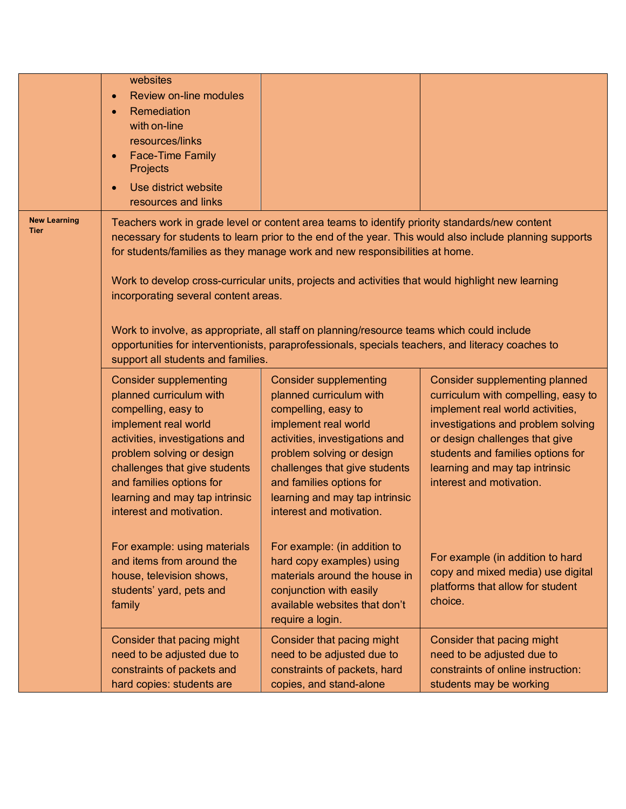|                                    | websites<br><b>Review on-line modules</b><br>$\bullet$<br>Remediation<br>$\bullet$<br>with on-line<br>resources/links<br><b>Face-Time Family</b><br>$\bullet$<br>Projects<br>Use district website<br>resources and links                                                                                                                                                                                                                                                                                                                                                                                                                                                     |                                                                                                                                                                                                                                                                                                   |                                                                                                                                                                                                                                                                                      |
|------------------------------------|------------------------------------------------------------------------------------------------------------------------------------------------------------------------------------------------------------------------------------------------------------------------------------------------------------------------------------------------------------------------------------------------------------------------------------------------------------------------------------------------------------------------------------------------------------------------------------------------------------------------------------------------------------------------------|---------------------------------------------------------------------------------------------------------------------------------------------------------------------------------------------------------------------------------------------------------------------------------------------------|--------------------------------------------------------------------------------------------------------------------------------------------------------------------------------------------------------------------------------------------------------------------------------------|
| <b>New Learning</b><br><b>Tier</b> | Teachers work in grade level or content area teams to identify priority standards/new content<br>necessary for students to learn prior to the end of the year. This would also include planning supports<br>for students/families as they manage work and new responsibilities at home.<br>Work to develop cross-curricular units, projects and activities that would highlight new learning<br>incorporating several content areas.<br>Work to involve, as appropriate, all staff on planning/resource teams which could include<br>opportunities for interventionists, paraprofessionals, specials teachers, and literacy coaches to<br>support all students and families. |                                                                                                                                                                                                                                                                                                   |                                                                                                                                                                                                                                                                                      |
|                                    | <b>Consider supplementing</b><br>planned curriculum with<br>compelling, easy to<br>implement real world<br>activities, investigations and<br>problem solving or design<br>challenges that give students<br>and families options for<br>learning and may tap intrinsic<br>interest and motivation.                                                                                                                                                                                                                                                                                                                                                                            | <b>Consider supplementing</b><br>planned curriculum with<br>compelling, easy to<br>implement real world<br>activities, investigations and<br>problem solving or design<br>challenges that give students<br>and families options for<br>learning and may tap intrinsic<br>interest and motivation. | Consider supplementing planned<br>curriculum with compelling, easy to<br>implement real world activities,<br>investigations and problem solving<br>or design challenges that give<br>students and families options for<br>learning and may tap intrinsic<br>interest and motivation. |
|                                    | For example: using materials<br>and items from around the<br>house, television shows,<br>students' yard, pets and<br>family                                                                                                                                                                                                                                                                                                                                                                                                                                                                                                                                                  | For example: (in addition to<br>hard copy examples) using<br>materials around the house in<br>conjunction with easily<br>available websites that don't<br>require a login.                                                                                                                        | For example (in addition to hard<br>copy and mixed media) use digital<br>platforms that allow for student<br>choice.                                                                                                                                                                 |
|                                    | Consider that pacing might<br>need to be adjusted due to<br>constraints of packets and<br>hard copies: students are                                                                                                                                                                                                                                                                                                                                                                                                                                                                                                                                                          | Consider that pacing might<br>need to be adjusted due to<br>constraints of packets, hard<br>copies, and stand-alone                                                                                                                                                                               | Consider that pacing might<br>need to be adjusted due to<br>constraints of online instruction:<br>students may be working                                                                                                                                                            |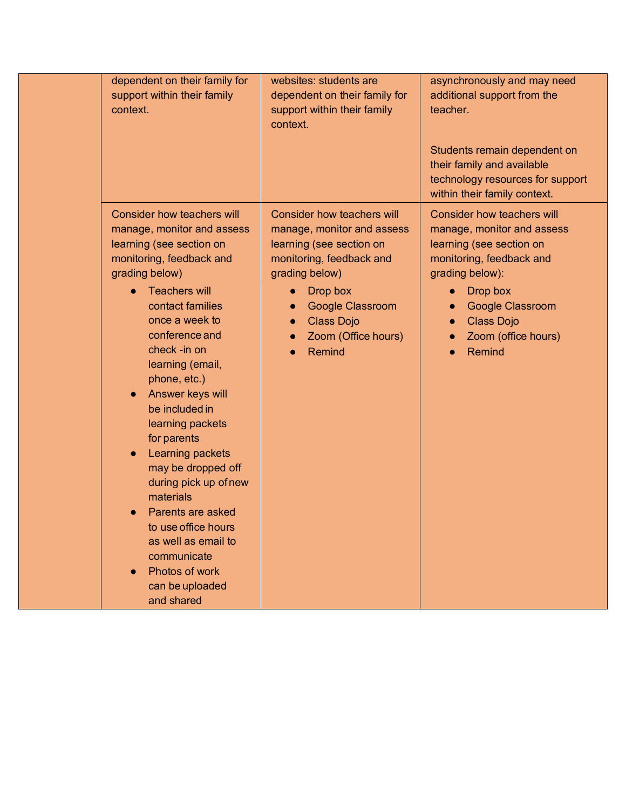| dependent on their family for<br>support within their family<br>context.                                                                                                                                                                                                                                                                                                                                                                                                                                                                                                    | websites: students are<br>dependent on their family for<br>support within their family<br>context.                                                                                                                                    | asynchronously and may need<br>additional support from the<br>teacher.<br>Students remain dependent on                                                                                                                           |
|-----------------------------------------------------------------------------------------------------------------------------------------------------------------------------------------------------------------------------------------------------------------------------------------------------------------------------------------------------------------------------------------------------------------------------------------------------------------------------------------------------------------------------------------------------------------------------|---------------------------------------------------------------------------------------------------------------------------------------------------------------------------------------------------------------------------------------|----------------------------------------------------------------------------------------------------------------------------------------------------------------------------------------------------------------------------------|
|                                                                                                                                                                                                                                                                                                                                                                                                                                                                                                                                                                             |                                                                                                                                                                                                                                       | their family and available<br>technology resources for support<br>within their family context.                                                                                                                                   |
| <b>Consider how teachers will</b><br>manage, monitor and assess<br>learning (see section on<br>monitoring, feedback and<br>grading below)<br><b>Teachers will</b><br>contact families<br>once a week to<br>conference and<br>check -in on<br>learning (email,<br>phone, etc.)<br>Answer keys will<br>be included in<br>learning packets<br>for parents<br>Learning packets<br>may be dropped off<br>during pick up of new<br>materials<br>Parents are asked<br>to use office hours<br>as well as email to<br>communicate<br>Photos of work<br>can be uploaded<br>and shared | Consider how teachers will<br>manage, monitor and assess<br>learning (see section on<br>monitoring, feedback and<br>grading below)<br>Drop box<br>$\bullet$<br>Google Classroom<br><b>Class Dojo</b><br>Zoom (Office hours)<br>Remind | <b>Consider how teachers will</b><br>manage, monitor and assess<br>learning (see section on<br>monitoring, feedback and<br>grading below):<br>Drop box<br>Google Classroom<br><b>Class Dojo</b><br>Zoom (office hours)<br>Remind |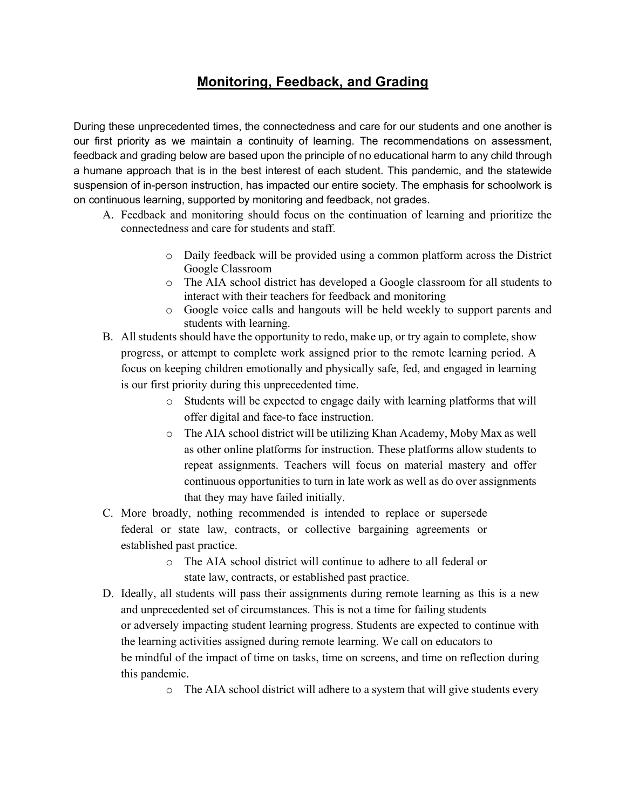## **Monitoring, Feedback, and Grading**

During these unprecedented times, the connectedness and care for our students and one another is our first priority as we maintain a continuity of learning. The recommendations on assessment, feedback and grading below are based upon the principle of no educational harm to any child through a humane approach that is in the best interest of each student. This pandemic, and the statewide suspension of in-person instruction, has impacted our entire society. The emphasis for schoolwork is on continuous learning, supported by monitoring and feedback, not grades.

- A. Feedback and monitoring should focus on the continuation of learning and prioritize the connectedness and care for students and staff.
	- o Daily feedback will be provided using a common platform across the District Google Classroom
	- o The AIA school district has developed a Google classroom for all students to interact with their teachers for feedback and monitoring
	- o Google voice calls and hangouts will be held weekly to support parents and students with learning.
- B. All students should have the opportunity to redo, make up, or try again to complete, show progress, or attempt to complete work assigned prior to the remote learning period. A focus on keeping children emotionally and physically safe, fed, and engaged in learning is our first priority during this unprecedented time.
	- o Students will be expected to engage daily with learning platforms that will offer digital and face-to face instruction.
	- o The AIA school district will be utilizing Khan Academy, Moby Max as well as other online platforms for instruction. These platforms allow students to repeat assignments. Teachers will focus on material mastery and offer continuous opportunities to turn in late work as well as do over assignments that they may have failed initially.
- C. More broadly, nothing recommended is intended to replace or supersede federal or state law, contracts, or collective bargaining agreements or established past practice.
	- o The AIA school district will continue to adhere to all federal or state law, contracts, or established past practice.
- D. Ideally, all students will pass their assignments during remote learning as this is a new and unprecedented set of circumstances. This is not a time for failing students or adversely impacting student learning progress. Students are expected to continue with the learning activities assigned during remote learning. We call on educators to be mindful of the impact of time on tasks, time on screens, and time on reflection during this pandemic.
	- o The AIA school district will adhere to a system that will give students every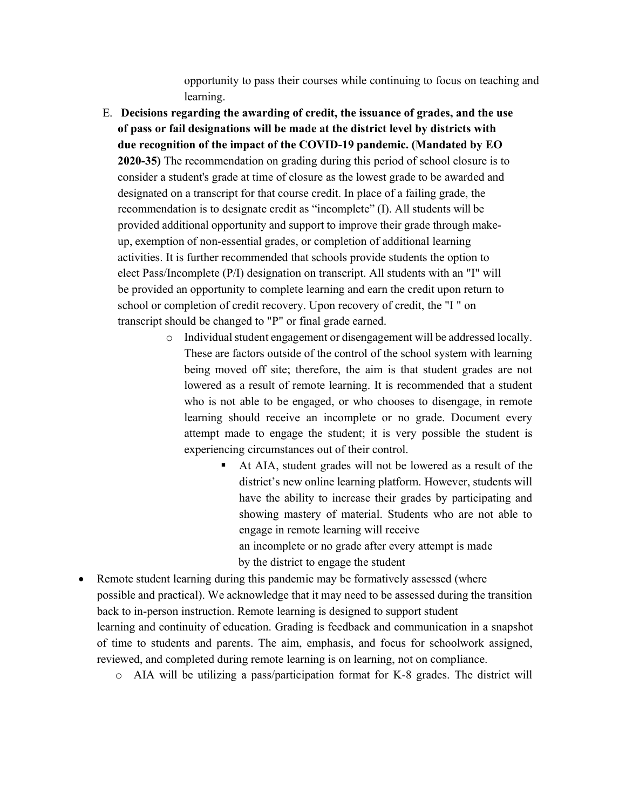opportunity to pass their courses while continuing to focus on teaching and learning.

- E. **Decisions regarding the awarding of credit, the issuance of grades, and the use of pass or fail designations will be made at the district level by districts with due recognition of the impact of the COVID-19 pandemic. (Mandated by EO 2020-35)** The recommendation on grading during this period of school closure is to consider a student's grade at time of closure as the lowest grade to be awarded and designated on a transcript for that course credit. In place of a failing grade, the recommendation is to designate credit as "incomplete" (I). All students will be provided additional opportunity and support to improve their grade through make up, exemption of non-essential grades, or completion of additional learning activities. It is further recommended that schools provide students the option to elect Pass/Incomplete (P/I) designation on transcript. All students with an "I" will be provided an opportunity to complete learning and earn the credit upon return to school or completion of credit recovery. Upon recovery of credit, the "I " on transcript should be changed to "P" or final grade earned.
	- o Individual student engagement or disengagement will be addressed locally. These are factors outside of the control of the school system with learning being moved off site; therefore, the aim is that student grades are not lowered as a result of remote learning. It is recommended that a student who is not able to be engaged, or who chooses to disengage, in remote learning should receive an incomplete or no grade. Document every attempt made to engage the student; it is very possible the student is experiencing circumstances out of their control.
		- § At AIA, student grades will not be lowered as a result of the district's new online learning platform. However, students will have the ability to increase their grades by participating and showing mastery of material. Students who are not able to engage in remote learning will receive an incomplete or no grade after every attempt is made by the district to engage the student
- Remote student learning during this pandemic may be formatively assessed (where possible and practical). We acknowledge that it may need to be assessed during the transition back to in-person instruction. Remote learning is designed to support student learning and continuity of education. Grading is feedback and communication in a snapshot of time to students and parents. The aim, emphasis, and focus for schoolwork assigned, reviewed, and completed during remote learning is on learning, not on compliance.

o AIA will be utilizing a pass/participation format for K-8 grades. The district will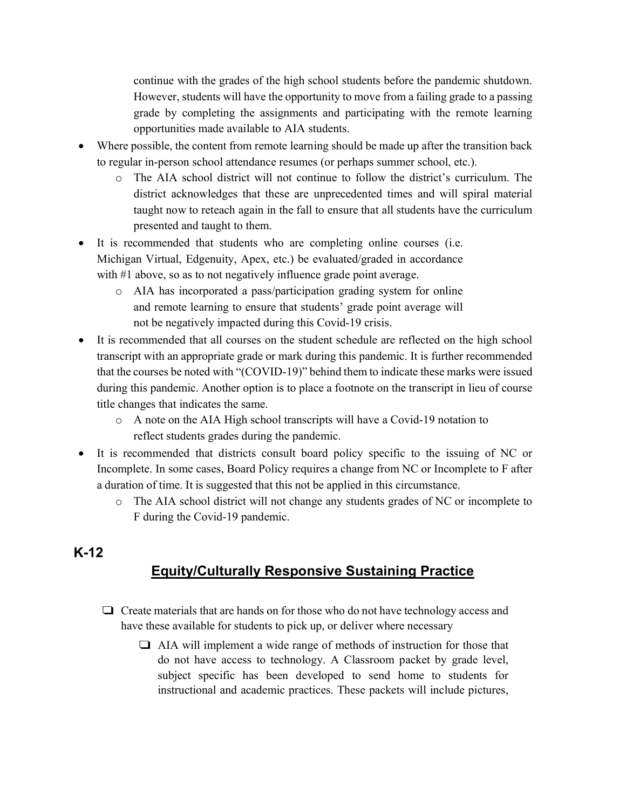continue with the grades of the high school students before the pandemic shutdown. However, students will have the opportunity to move from a failing grade to a passing grade by completing the assignments and participating with the remote learning opportunities made available to AIA students.

- Where possible, the content from remote learning should be made up after the transition back to regular in-person school attendance resumes (or perhaps summer school, etc.).
	- o The AIA school district will not continue to follow the district's curriculum. The district acknowledges that these are unprecedented times and will spiral material taught now to reteach again in the fall to ensure that all students have the curriculum presented and taught to them.
- It is recommended that students who are completing online courses (i.e. Michigan Virtual, Edgenuity, Apex, etc.) be evaluated/graded in accordance with #1 above, so as to not negatively influence grade point average.
	- o AIA has incorporated a pass/participation grading system for online and remote learning to ensure that students' grade point average will not be negatively impacted during this Covid-19 crisis.
- It is recommended that all courses on the student schedule are reflected on the high school transcript with an appropriate grade or mark during this pandemic. It is further recommended that the courses be noted with "(COVID-19)" behind them to indicate these marks were issued during this pandemic. Another option is to place a footnote on the transcript in lieu of course title changes that indicates the same.
	- o A note on the AIA High school transcripts will have a Covid-19 notation to reflect students grades during the pandemic.
- It is recommended that districts consult board policy specific to the issuing of NC or Incomplete. In some cases, Board Policy requires a change from NC or Incomplete to F after a duration of time. It is suggested that this not be applied in this circumstance.
	- o The AIA school district will not change any students grades of NC or incomplete to F during the Covid-19 pandemic.

## **K-12**

## **Equity/Culturally Responsive Sustaining Practice**

- ❑ Create materials that are hands on for those who do not have technology access and have these available for students to pick up, or deliver where necessary
	- ❑ AIA will implement a wide range of methods of instruction for those that do not have access to technology. A Classroom packet by grade level, subject specific has been developed to send home to students for instructional and academic practices. These packets will include pictures,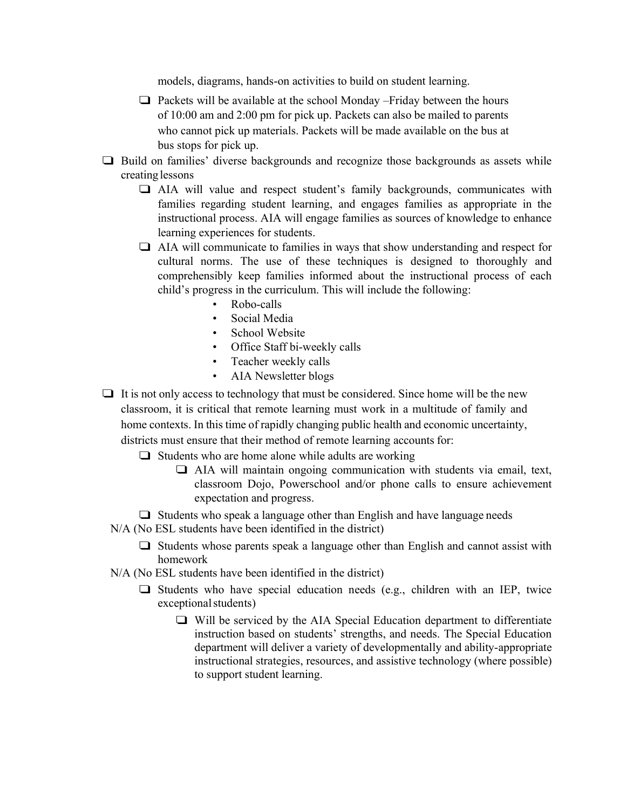models, diagrams, hands-on activities to build on student learning.

- ❑ Packets will be available at the school Monday –Friday between the hours of 10:00 am and 2:00 pm for pick up. Packets can also be mailed to parents who cannot pick up materials. Packets will be made available on the bus at bus stops for pick up.
- ❑ Build on families' diverse backgrounds and recognize those backgrounds as assets while creating lessons
	- ❑ AIA will value and respect student's family backgrounds, communicates with families regarding student learning, and engages families as appropriate in the instructional process. AIA will engage families as sources of knowledge to enhance learning experiences for students.
	- ❑ AIA will communicate to families in ways that show understanding and respect for cultural norms. The use of these techniques is designed to thoroughly and comprehensibly keep families informed about the instructional process of each child's progress in the curriculum. This will include the following:
		- Robo-calls
		- Social Media
		- School Website
		- Office Staff bi-weekly calls
		- Teacher weekly calls
		- AIA Newsletter blogs
- $\Box$  It is not only access to technology that must be considered. Since home will be the new classroom, it is critical that remote learning must work in a multitude of family and home contexts. In this time of rapidly changing public health and economic uncertainty, districts must ensure that their method of remote learning accounts for:
	- $\Box$  Students who are home alone while adults are working
		- $\Box$  AIA will maintain ongoing communication with students via email, text, classroom Dojo, Powerschool and/or phone calls to ensure achievement expectation and progress.
	- ❑ Students who speak a language other than English and have language needs
	- N/A (No ESL students have been identified in the district)
		- $\Box$  Students whose parents speak a language other than English and cannot assist with homework
	- N/A (No ESL students have been identified in the district)
		- ❑ Students who have special education needs (e.g., children with an IEP, twice exceptional students)
			- ❑ Will be serviced by the AIA Special Education department to differentiate instruction based on students' strengths, and needs. The Special Education department will deliver a variety of developmentally and ability-appropriate instructional strategies, resources, and assistive technology (where possible) to support student learning.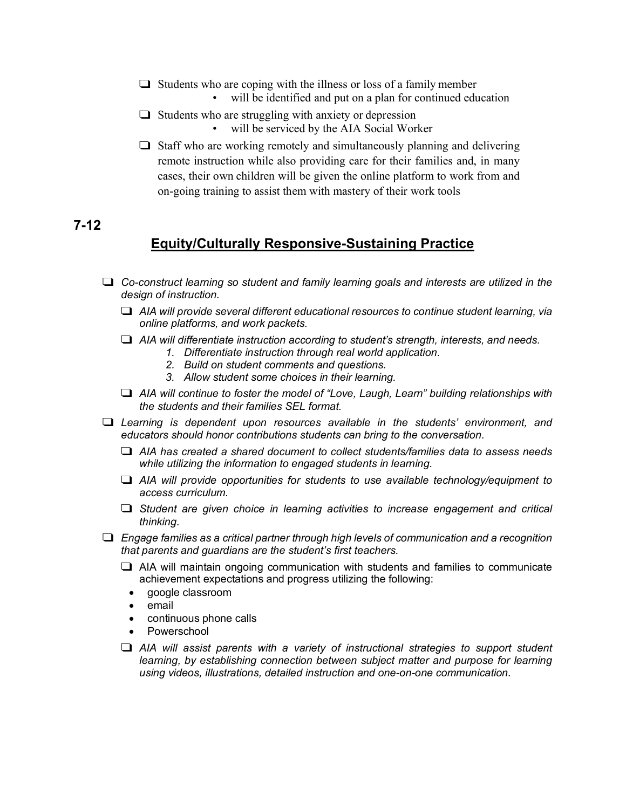- $\Box$  Students who are coping with the illness or loss of a family member
	- will be identified and put on a plan for continued education
- $\Box$  Students who are struggling with anxiety or depression • will be serviced by the AIA Social Worker
- ❑ Staff who are working remotely and simultaneously planning and delivering remote instruction while also providing care for their families and, in many cases, their own children will be given the online platform to work from and on-going training to assist them with mastery of their work tools

## **7-12**

## **Equity/Culturally Responsive-Sustaining Practice**

- ❑ *Co-construct learning so student and family learning goals and interests are utilized in the design of instruction.*
	- ❑ *AIA will provide several different educational resources to continue student learning, via online platforms, and work packets.*
	- ❑ *AIA will differentiate instruction according to student's strength, interests, and needs.*
		- *1. Differentiate instruction through real world application.*
		- *2. Build on student comments and questions.*
		- *3. Allow student some choices in their learning.*
	- ❑ *AIA will continue to foster the model of "Love, Laugh, Learn" building relationships with the students and their families SEL format.*
- ❑ *Learning is dependent upon resources available in the students' environment, and educators should honor contributions students can bring to the conversation.*
	- ❑ *AIA has created a shared document to collect students/families data to assess needs while utilizing the information to engaged students in learning.*
	- ❑ *AIA will provide opportunities for students to use available technology/equipment to access curriculum.*
	- ❑ *Student are given choice in learning activities to increase engagement and critical thinking.*
- ❑ *Engage families as a critical partner through high levels of communication and a recognition that parents and guardians are the student's first teachers.*
	- ❑ AIA will maintain ongoing communication with students and families to communicate achievement expectations and progress utilizing the following:
		- google classroom
		- email
		- continuous phone calls
		- Powerschool
	- ❑ *AIA will assist parents with a variety of instructional strategies to support student learning, by establishing connection between subject matter and purpose for learning using videos, illustrations, detailed instruction and one-on-one communication.*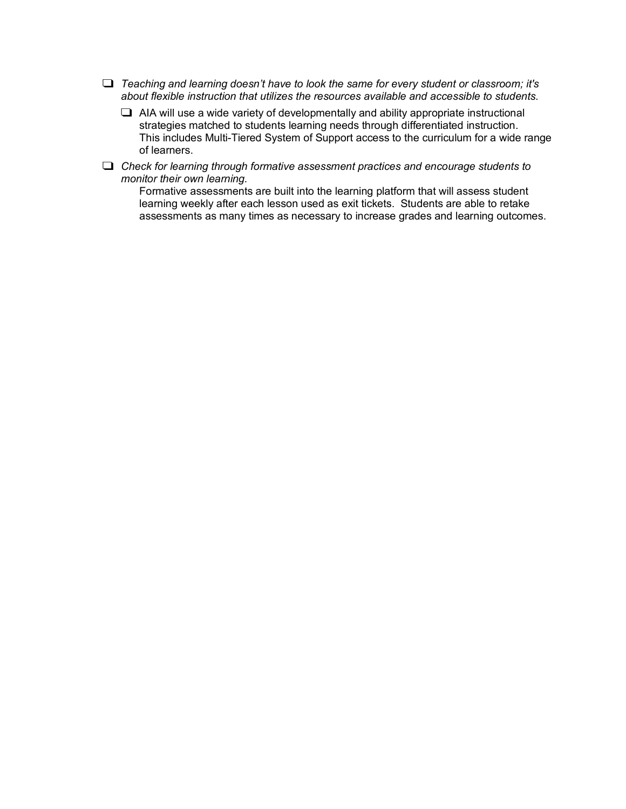- ❑ *Teaching and learning doesn't have to look the same for every student or classroom; it's about flexible instruction that utilizes the resources available and accessible to students.*
	- $\Box$  AIA will use a wide variety of developmentally and ability appropriate instructional strategies matched to students learning needs through differentiated instruction. This includes Multi-Tiered System of Support access to the curriculum for a wide range of learners.
- ❑ *Check for learning through formative assessment practices and encourage students to monitor their own learning.*

Formative assessments are built into the learning platform that will assess student learning weekly after each lesson used as exit tickets. Students are able to retake assessments as many times as necessary to increase grades and learning outcomes.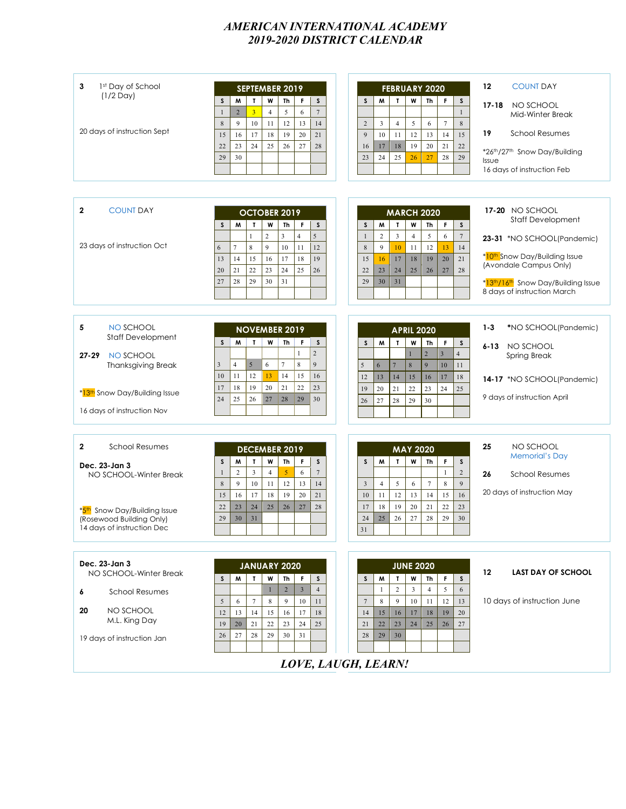#### *AMERICAN INTERNATIONAL ACADEMY 2019-2020 DISTRICT CALENDAR*

| 3<br>1st Day of School<br>$(1/2$ Day)                          | <b>SEPTEMBER 2019</b><br>$\mathsf{s}$<br>M<br>T<br>W<br>Th<br>F<br>s                                                                                         | <b>FEBRUARY 2020</b><br>$\mathbf{T}$<br>W<br>S<br>M<br>Th<br>F<br>S                                                                                   | 12<br><b>COUNT DAY</b><br>$17 - 18$<br>NO SCHOOL                                 |
|----------------------------------------------------------------|--------------------------------------------------------------------------------------------------------------------------------------------------------------|-------------------------------------------------------------------------------------------------------------------------------------------------------|----------------------------------------------------------------------------------|
|                                                                | $\overline{3}$<br>5<br>$7\phantom{.0}$<br>$\overline{2}$<br>$\overline{4}$<br>6<br>$\overline{1}$<br>$\,8\,$<br>9<br>10<br>11<br>12<br>14<br>13              | $\mathbf{1}$<br>$\overline{3}$<br>$\overline{4}$<br>5<br>6<br>$\,$ 8 $\,$<br>2<br>$\overline{7}$                                                      | Mid-Winter Break                                                                 |
| 20 days of instruction Sept                                    | 16<br>18<br>19<br>20<br>21<br>17<br>15                                                                                                                       | 12<br>15<br>9<br>10<br>11<br>13<br>14                                                                                                                 | <b>School Resumes</b><br>19                                                      |
|                                                                | 23<br>24<br>22<br>25<br>26<br>27<br>28<br>30<br>29                                                                                                           | 18<br>19<br>20<br>21<br>22<br>17<br>16<br>24<br>25<br>26<br>27<br>29<br>23<br>28                                                                      | *26th/27th Snow Day/Building<br>Issue                                            |
|                                                                |                                                                                                                                                              |                                                                                                                                                       | 16 days of instruction Feb                                                       |
|                                                                |                                                                                                                                                              |                                                                                                                                                       |                                                                                  |
| $\mathbf{2}$<br><b>COUNT DAY</b>                               | OCTOBER 2019<br>M<br>W<br>F<br>s<br>s<br>T<br>Th                                                                                                             | <b>MARCH 2020</b><br>F<br>$\mathsf S$<br>M<br>W<br>Th<br>$\mathsf S$<br>T                                                                             | 17-20 NO SCHOOL<br><b>Staff Development</b>                                      |
| 23 days of instruction Oct                                     | $\overline{c}$<br>$\overline{3}$<br>4<br>5<br>$\overline{7}$<br>9<br>$\,$ 8 $\,$<br>10<br>12<br>11<br>6                                                      | $\overline{2}$<br>$\overline{3}$<br>5<br>$\overline{4}$<br>$\boldsymbol{7}$<br>6<br>$\mathbf{1}$<br>9<br>12<br>14<br>$8\phantom{1}$<br>10<br>11<br>13 | 23-31 *NO SCHOOL(Pandemic)                                                       |
|                                                                | 14<br>15<br>16<br>17<br>18<br>19<br>13<br>22<br>23<br>21<br>24<br>25<br>26<br>20                                                                             | 17<br>18<br>19<br>20<br>21<br>15<br>16<br>24<br>25<br>26<br>27<br>28<br>22<br>23                                                                      | * <mark>10<sup>th</sup> Snow Day/Building Issue</mark><br>(Avondale Campus Only) |
|                                                                | 29<br>30<br>31<br>28<br>27                                                                                                                                   | 31<br>29<br>30                                                                                                                                        | *13th/16th Snow Day/Building Issue<br>8 days of instruction March                |
|                                                                |                                                                                                                                                              |                                                                                                                                                       |                                                                                  |
| NO SCHOOL<br>5<br><b>Staff Development</b>                     | <b>NOVEMBER 2019</b><br>$\mathbf{r}$<br>W<br>Th<br>F<br>S.<br>M<br>s                                                                                         | <b>APRIL 2020</b><br>$\mathbf T$<br>W<br>M<br>Th<br>F<br>S<br>S                                                                                       | $1 - 3$<br>*NO SCHOOL(Pandemic)                                                  |
| NO SCHOOL<br>$27 - 29$                                         | $\overline{c}$<br>1                                                                                                                                          | $\overline{2}$<br>$\overline{4}$<br>$\overline{3}$<br>1                                                                                               | NO SCHOOL<br>$6 - 13$<br><b>Spring Break</b>                                     |
| <b>Thanksgiving Break</b>                                      | $\overline{4}$<br>5<br>$\overline{7}$<br>$\,$ 8 $\,$<br>6<br>9<br>3<br>12<br>11<br>10<br>13<br>14<br>15<br>16                                                | 9<br>5<br>6<br>$\overline{7}$<br>$\,$ 8 $\,$<br>10<br>11<br>13<br>14<br>16<br>12<br>15<br>17<br>18                                                    | 14-17 *NO SCHOOL(Pandemic)                                                       |
| *13th Snow Day/Building Issue                                  | 19<br>18<br>20<br>22<br>21<br>23<br>17<br>25<br>26<br>27<br>28<br>29<br>30<br>24                                                                             | 22<br>19<br>20<br>21<br>23<br>24<br>25<br>28<br>29<br>30<br>27<br>26                                                                                  | 9 days of instruction April                                                      |
| 16 days of instruction Nov                                     |                                                                                                                                                              |                                                                                                                                                       |                                                                                  |
| $\mathbf{2}$<br><b>School Resumes</b>                          |                                                                                                                                                              |                                                                                                                                                       | 25<br>NO SCHOOL                                                                  |
| Dec. 23-Jan 3                                                  | <b>DECEMBER 2019</b><br>M<br>$\mathbf{r}$<br>W<br>Th<br>F<br>s<br>S                                                                                          | <b>MAY 2020</b><br>M<br>$\mathbf{I}$<br>W<br>Th<br>F<br>$\mathsf S$<br>S                                                                              | <b>Memorial's Day</b>                                                            |
| NO SCHOOL-Winter Break                                         | $\overline{\mathbf{3}}$<br>$\overline{c}$<br>$\overline{7}$<br>$\overline{4}$<br>5<br>6<br>$\mathbf{1}$<br>12<br>9<br>10<br>13<br>14<br>$8\phantom{1}$<br>11 | $\overline{c}$<br>$\mathbf{1}$<br>$\tau$<br>9<br>$\sqrt{5}$<br>8<br>$\overline{3}$<br>$\overline{4}$<br>6                                             | <b>School Resumes</b><br>26                                                      |
|                                                                | 16<br>18<br>17<br>19<br>20<br>21<br>15                                                                                                                       | 12<br>16<br>13<br>14<br>15<br>10<br>11                                                                                                                | 20 days of instruction May                                                       |
| Snow Day/Building Issue<br>$*$ 5th<br>(Rosewood Building Only) | 23<br>24<br>25<br>22<br>26<br>27<br>28<br>31<br>29<br>30                                                                                                     | 19<br>18<br>20<br>21<br>22<br>17<br>23<br>26<br>27<br>28<br>24<br>25<br>29<br>30                                                                      |                                                                                  |
| 14 days of instruction Dec                                     |                                                                                                                                                              | 31                                                                                                                                                    |                                                                                  |
|                                                                |                                                                                                                                                              |                                                                                                                                                       |                                                                                  |
| Dec. 23-Jan 3<br>NO SCHOOL-Winter Break                        | JANUARY 2020<br>$\mathbf{r}$<br>W<br>Th<br>M<br>F<br>s<br>S                                                                                                  | <b>JUNE 2020</b><br>W<br>M<br>$\mathbf{T}$<br>Th<br>F.<br>S<br>S                                                                                      | $12 \,$<br><b>LAST DAY OF SCHOOL</b>                                             |
| <b>School Resumes</b><br>6                                     | $\overline{4}$<br>$\overline{2}$<br>$\overline{3}$<br>$\mathbf{1}$                                                                                           | $\overline{c}$<br>$\overline{3}$<br>$\overline{4}$<br>5<br>1<br>6                                                                                     |                                                                                  |
| 20<br>NO SCHOOL                                                | 10<br>5<br>6<br>$7\phantom{.0}$<br>8<br>9<br>11<br>13<br>15<br>18<br>12<br>14<br>16<br>17                                                                    | 9<br>10<br>8<br>11<br>12<br>13<br>$7\phantom{.0}$<br>16<br>18<br>20<br>15<br>17<br>19<br>14                                                           | 10 days of instruction June                                                      |
| M.L. King Day                                                  | 21<br>$22\,$<br>24<br>25<br>19<br>20<br>23<br>27<br>28<br>29<br>30<br>31                                                                                     | 23<br>24<br>27<br>21<br>22<br>25<br>26<br>30                                                                                                          |                                                                                  |
| 19 days of instruction Jan                                     | 26                                                                                                                                                           | 28<br>29                                                                                                                                              |                                                                                  |
|                                                                |                                                                                                                                                              | LOVE, LAUGH, LEARN!                                                                                                                                   |                                                                                  |